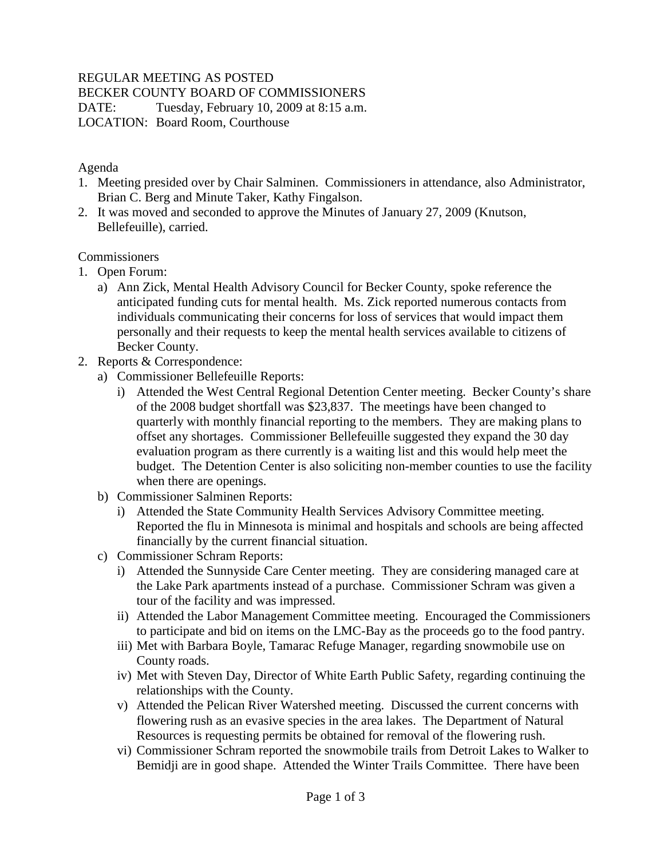# REGULAR MEETING AS POSTED

BECKER COUNTY BOARD OF COMMISSIONERS

DATE: Tuesday, February 10, 2009 at 8:15 a.m. LOCATION: Board Room, Courthouse

#### Agenda

- 1. Meeting presided over by Chair Salminen. Commissioners in attendance, also Administrator, Brian C. Berg and Minute Taker, Kathy Fingalson.
- 2. It was moved and seconded to approve the Minutes of January 27, 2009 (Knutson, Bellefeuille), carried.

# **Commissioners**

- 1. Open Forum:
	- a) Ann Zick, Mental Health Advisory Council for Becker County, spoke reference the anticipated funding cuts for mental health. Ms. Zick reported numerous contacts from individuals communicating their concerns for loss of services that would impact them personally and their requests to keep the mental health services available to citizens of Becker County.
- 2. Reports & Correspondence:
	- a) Commissioner Bellefeuille Reports:
		- i) Attended the West Central Regional Detention Center meeting. Becker County's share of the 2008 budget shortfall was \$23,837. The meetings have been changed to quarterly with monthly financial reporting to the members. They are making plans to offset any shortages. Commissioner Bellefeuille suggested they expand the 30 day evaluation program as there currently is a waiting list and this would help meet the budget. The Detention Center is also soliciting non-member counties to use the facility when there are openings.
	- b) Commissioner Salminen Reports:
		- i) Attended the State Community Health Services Advisory Committee meeting. Reported the flu in Minnesota is minimal and hospitals and schools are being affected financially by the current financial situation.
	- c) Commissioner Schram Reports:
		- i) Attended the Sunnyside Care Center meeting. They are considering managed care at the Lake Park apartments instead of a purchase. Commissioner Schram was given a tour of the facility and was impressed.
		- ii) Attended the Labor Management Committee meeting. Encouraged the Commissioners to participate and bid on items on the LMC-Bay as the proceeds go to the food pantry.
		- iii) Met with Barbara Boyle, Tamarac Refuge Manager, regarding snowmobile use on County roads.
		- iv) Met with Steven Day, Director of White Earth Public Safety, regarding continuing the relationships with the County.
		- v) Attended the Pelican River Watershed meeting. Discussed the current concerns with flowering rush as an evasive species in the area lakes. The Department of Natural Resources is requesting permits be obtained for removal of the flowering rush.
		- vi) Commissioner Schram reported the snowmobile trails from Detroit Lakes to Walker to Bemidji are in good shape. Attended the Winter Trails Committee. There have been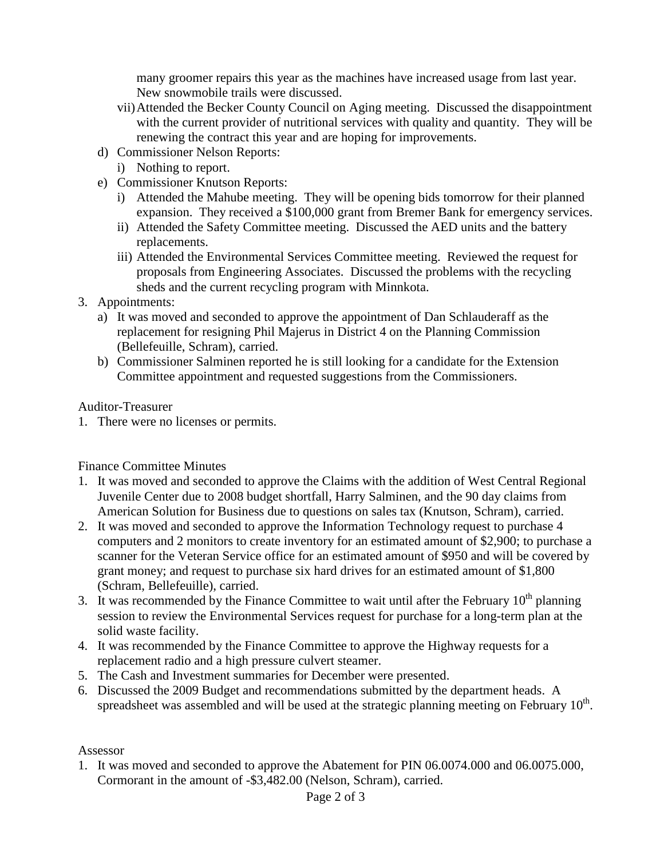many groomer repairs this year as the machines have increased usage from last year. New snowmobile trails were discussed.

- vii)Attended the Becker County Council on Aging meeting. Discussed the disappointment with the current provider of nutritional services with quality and quantity. They will be renewing the contract this year and are hoping for improvements.
- d) Commissioner Nelson Reports:
	- i) Nothing to report.
- e) Commissioner Knutson Reports:
	- i) Attended the Mahube meeting. They will be opening bids tomorrow for their planned expansion. They received a \$100,000 grant from Bremer Bank for emergency services.
	- ii) Attended the Safety Committee meeting. Discussed the AED units and the battery replacements.
	- iii) Attended the Environmental Services Committee meeting. Reviewed the request for proposals from Engineering Associates. Discussed the problems with the recycling sheds and the current recycling program with Minnkota.
- 3. Appointments:
	- a) It was moved and seconded to approve the appointment of Dan Schlauderaff as the replacement for resigning Phil Majerus in District 4 on the Planning Commission (Bellefeuille, Schram), carried.
	- b) Commissioner Salminen reported he is still looking for a candidate for the Extension Committee appointment and requested suggestions from the Commissioners.

#### Auditor-Treasurer

1. There were no licenses or permits.

#### Finance Committee Minutes

- 1. It was moved and seconded to approve the Claims with the addition of West Central Regional Juvenile Center due to 2008 budget shortfall, Harry Salminen, and the 90 day claims from American Solution for Business due to questions on sales tax (Knutson, Schram), carried.
- 2. It was moved and seconded to approve the Information Technology request to purchase 4 computers and 2 monitors to create inventory for an estimated amount of \$2,900; to purchase a scanner for the Veteran Service office for an estimated amount of \$950 and will be covered by grant money; and request to purchase six hard drives for an estimated amount of \$1,800 (Schram, Bellefeuille), carried.
- 3. It was recommended by the Finance Committee to wait until after the February  $10^{th}$  planning session to review the Environmental Services request for purchase for a long-term plan at the solid waste facility.
- 4. It was recommended by the Finance Committee to approve the Highway requests for a replacement radio and a high pressure culvert steamer.
- 5. The Cash and Investment summaries for December were presented.
- 6. Discussed the 2009 Budget and recommendations submitted by the department heads. A spreadsheet was assembled and will be used at the strategic planning meeting on February  $10<sup>th</sup>$ .

#### Assessor

1. It was moved and seconded to approve the Abatement for PIN 06.0074.000 and 06.0075.000, Cormorant in the amount of -\$3,482.00 (Nelson, Schram), carried.